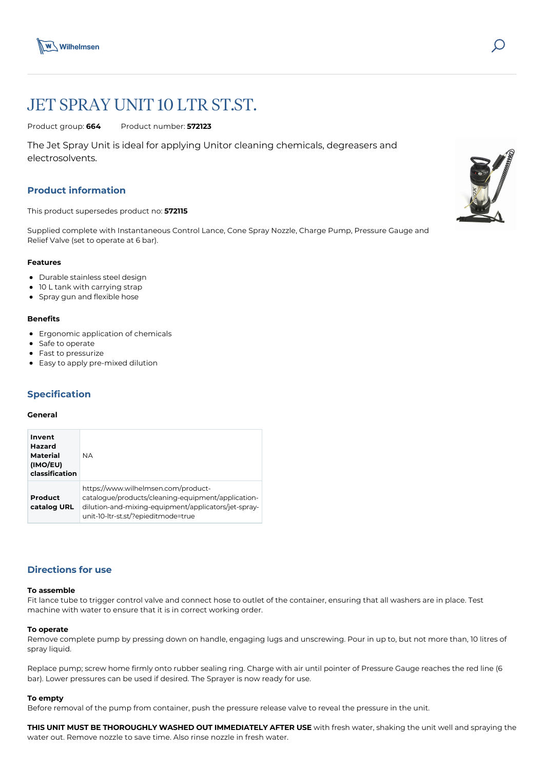



# JET SPRAY UNIT 10 LTR ST.ST.

Product group: **664** Product number: **572123**

The Jet Spray Unit is ideal for applying Unitor cleaning chemicals, degreasers and electrosolvents.

# **Product information**

This product supersedes product no: **572115**

Supplied complete with Instantaneous Control Lance, Cone Spray Nozzle, Charge Pump, Pressure Gauge and Relief Valve (set to operate at 6 bar).

#### **Features**

- Durable stainless steel design
- 10 L tank with carrying strap
- Spray gun and flexible hose

# **Benefits**

- Ergonomic application of chemicals
- Safe to operate
- Fast to pressurize
- Easy to apply pre-mixed dilution

# **Specification**

## **General**

| Invent<br>Hazard<br><b>Material</b><br>(IMO/EU)<br>classification | <b>NA</b>                                                                                                                                                                                |  |
|-------------------------------------------------------------------|------------------------------------------------------------------------------------------------------------------------------------------------------------------------------------------|--|
| Product<br>catalog URL                                            | https://www.wilhelmsen.com/product-<br>catalogue/products/cleaning-equipment/application-<br>dilution-and-mixing-equipment/applicators/jet-spray-<br>unit-10-ltr-st.st/?epieditmode=true |  |

# **Directions for use**

#### **To assemble**

Fit lance tube to trigger control valve and connect hose to outlet of the container, ensuring that all washers are in place. Test machine with water to ensure that it is in correct working order.

#### **To operate**

Remove complete pump by pressing down on handle, engaging lugs and unscrewing. Pour in up to, but not more than, 10 litres of spray liquid.

Replace pump; screw home firmly onto rubber sealing ring. Charge with air until pointer of Pressure Gauge reaches the red line (6 bar). Lower pressures can be used if desired. The Sprayer is now ready for use.

#### **To empty**

Before removal of the pump from container, push the pressure release valve to reveal the pressure in the unit.

**THIS UNIT MUST BE THOROUGHLY WASHED OUT IMMEDIATELY AFTER USE** with fresh water, shaking the unit well and spraying the water out. Remove nozzle to save time. Also rinse nozzle in fresh water.